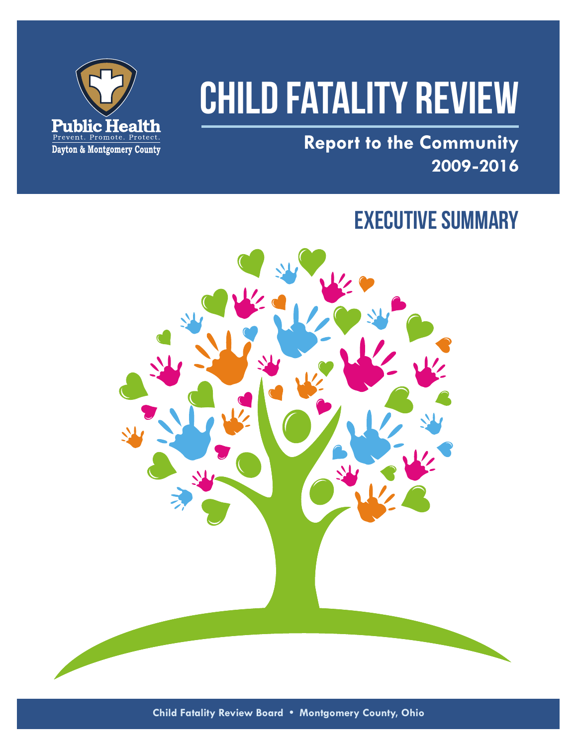

# **CHILD FATALITY REVIEW**

**Report to the Community 2009 - 2016**

# EXECUTIVE SUMMARY



**Child Fatality Review Board • Montgomery County, Ohio**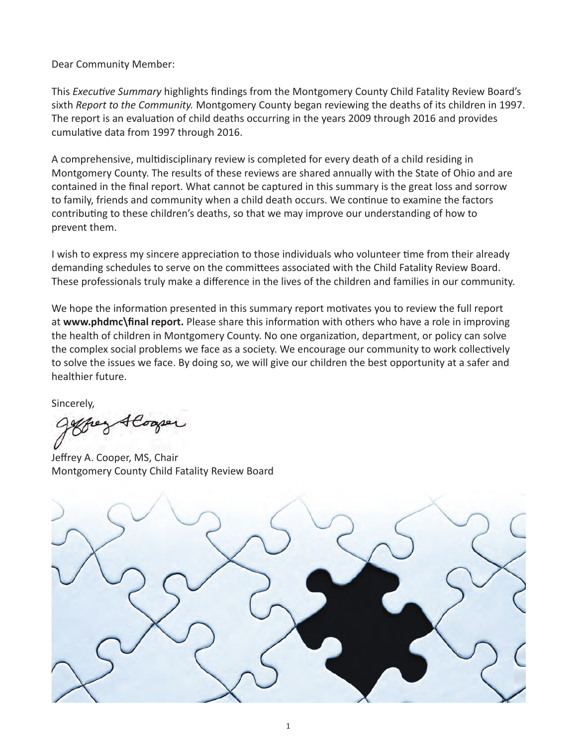Dear Community Member:

This *Executive Summary* highlights findings from the Montgomery County Child Fatality Review Board's sixth *Report to the Community.* Montgomery County began reviewing the deaths of its children in 1997. The report is an evaluation of child deaths occurring in the years 2009 through 2016 and provides cumulative data from 1997 through 2016.

A comprehensive, multidisciplinary review is completed for every death of a child residing in Montgomery County. The results of these reviews are shared annually with the State of Ohio and are contained in the final report. What cannot be captured in this summary is the great loss and sorrow to family, friends and community when a child death occurs. We continue to examine the factors contributing to these children's deaths, so that we may improve our understanding of how to prevent them.

I wish to express my sincere appreciation to those individuals who volunteer time from their already demanding schedules to serve on the committees associated with the Child Fatality Review Board. These professionals truly make a difference in the lives of the children and families in our community.

We hope the information presented in this summary report motivates you to review the full report at **www.phdmc\final report.** Please share this information with others who have a role in improving the health of children in Montgomery County. No one organization, department, or policy can solve the complex social problems we face as a society. We encourage our community to work collectively to solve the issues we face. By doing so, we will give our children the best opportunity at a safer and healthier future.

Sincerely,

Jeg Alogser

Jeffrey A. Cooper, MS, Chair Montgomery County Child Fatality Review Board

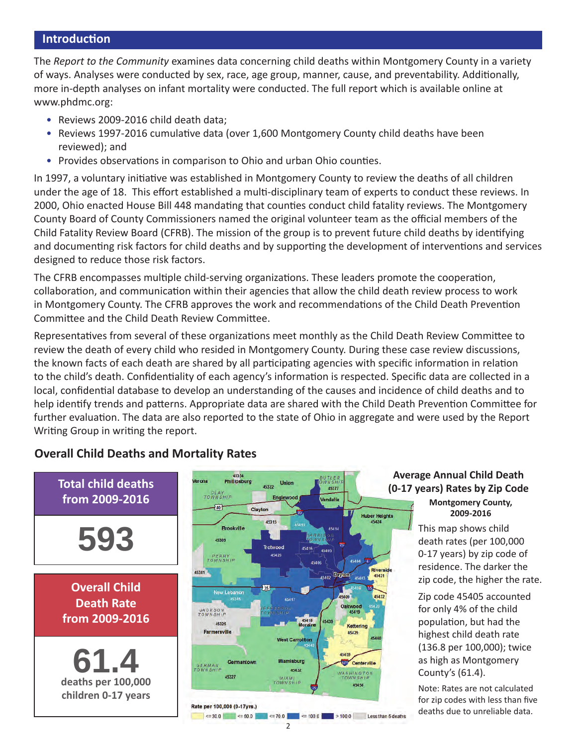#### **Introduction**

The *Report to the Community* examines data concerning child deaths within Montgomery County in a variety of ways. Analyses were conducted by sex, race, age group, manner, cause, and preventability. Additionally, more in-depth analyses on infant mortality were conducted. The full report which is available online at www.phdmc.org:

- Reviews 2009-2016 child death data;
- Reviews 1997-2016 cumulative data (over 1,600 Montgomery County child deaths have been reviewed); and
- Provides observations in comparison to Ohio and urban Ohio counties.

In 1997, a voluntary initiative was established in Montgomery County to review the deaths of all children under the age of 18. This effort established a multi-disciplinary team of experts to conduct these reviews. In 2000, Ohio enacted House Bill 448 mandating that counties conduct child fatality reviews. The Montgomery County Board of County Commissioners named the original volunteer team as the official members of the Child Fatality Review Board (CFRB). The mission of the group is to prevent future child deaths by identifying and documenting risk factors for child deaths and by supporting the development of interventions and services designed to reduce those risk factors.

The CFRB encompasses multiple child-serving organizations. These leaders promote the cooperation, collaboration, and communication within their agencies that allow the child death review process to work in Montgomery County. The CFRB approves the work and recommendations of the Child Death Prevention Committee and the Child Death Review Committee.

Representatives from several of these organizations meet monthly as the Child Death Review Committee to review the death of every child who resided in Montgomery County. During these case review discussions, the known facts of each death are shared by all participating agencies with specific information in relation to the child's death. Confidentiality of each agency's information is respected. Specific data are collected in a local, confidential database to develop an understanding of the causes and incidence of child deaths and to help identify trends and patterns. Appropriate data are shared with the Child Death Prevention Committee for further evaluation. The data are also reported to the state of Ohio in aggregate and were used by the Report Writing Group in writing the report.

#### 45354 **BUTLER Total child deaths**  Phillipsburg Union 45322 45377 **CLAY**<br>TOWNSHIP **from 2009-2016** Engle Vandalia 砸 Clayton Huber Heights<br>45424 45315 **Rrookville** 45414 **593** 45309 45416 45405 45426 **PERRY**<br>TOWNSHIP 45404 45406 45381 diversi **Days** 45431 **Overall Child**  33 New Lebanon 45417 **Death Rate JACKSON**<br>TOWNSHIP **from 2009-2016** 45418<br>Moraine 45325 Kettering Farmersville 45429 45440 **West Carrollton 61.4 deaths per 100,000**  Miar Germantoy **Centerville GERMAN**<br>TOWN SHIP 45432 WASHINGTON<br>TOWNSHIP 45327 **MIAMI**<br>TOWNSHIP 45458 **children 0-17 years** Rate per 100,000 (0-17yrs.)  $\leq 30.0$   $\leq 50.0$  $\le$  100.0 > 100.0 Less than 5 deaths  $= 70.0$

#### **Overall Child Deaths and Mortality Rates**

#### **Average Annual Child Death (0-17 years) Rates by Zip Code Montgomery County, 2009-2016**

This map shows child death rates (per 100,000 0-17 years) by zip code of residence. The darker the zip code, the higher the rate.

Zip code 45405 accounted for only 4% of the child population, but had the highest child death rate (136.8 per 100,000); twice as high as Montgomery County's (61.4).

Note: Rates are not calculated for zip codes with less than five deaths due to unreliable data.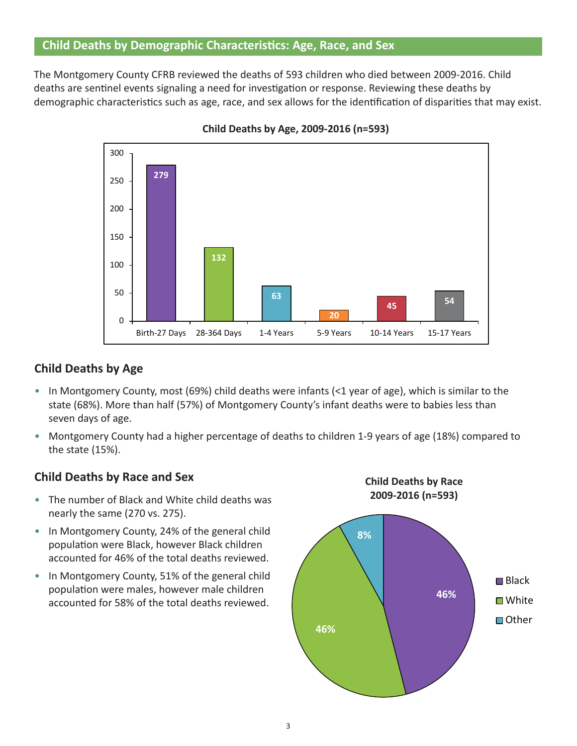#### **Child Deaths by Demographic Characteristics: Age, Race, and Sex**

The Montgomery County CFRB reviewed the deaths of 593 children who died between 2009-2016. Child deaths are sentinel events signaling a need for investigation or response. Reviewing these deaths by demographic characteristics such as age, race, and sex allows for the identification of disparities that may exist.

The Montgomery  $C_{\rm F}$  reviewed the deaths of 593 children who died between 2009-2016. Child deaths are viewed the deaths are viewed to  $593$ 



**Figure 1. Reviews of Child Deaths by Age, 2009-2016 (n=593) Child Deaths by Age, 2009-2016 (n=593)**

#### $T_{\rm eff}$  majority (69 percent) of cases reviewed were infant deaths. On the infant deaths of the infant deaths,  $68$  cm in  $68$  cm in  $68$  cm in  $68$  cm in  $68$  cm in  $68$  cm in  $68$  cm in  $68$  cm in  $68$  cm in  $68$  cm in **Child Deaths by Age**

**Background**

- In Montgomery County, most (69%) child deaths were infants (<1 year of age), which is similar to the death in Montgomery County, most (39%) since accurs were mainted (SE) year or age), which is similar to the state<br>state (68%). More than half (57%) of Montgomery County's infant deaths were to babies less than state (00%). Wore
- **•** Montgomery County had a higher percentage of deaths to children 1-9 years of age (18%) compared to the state (15%).

#### **Child Deaths by Race and Sex**

- The number of Black and White child deaths was nearly the same (270 vs. 275).
- In Montgomery County, 24% of the general child population were Black, however Black children accounted for 46% of the total deaths reviewed.
- In Montgomery County, 51% of the general child population were males, however male children accounted for 58% of the total deaths reviewed.



**Child Deaths by Race**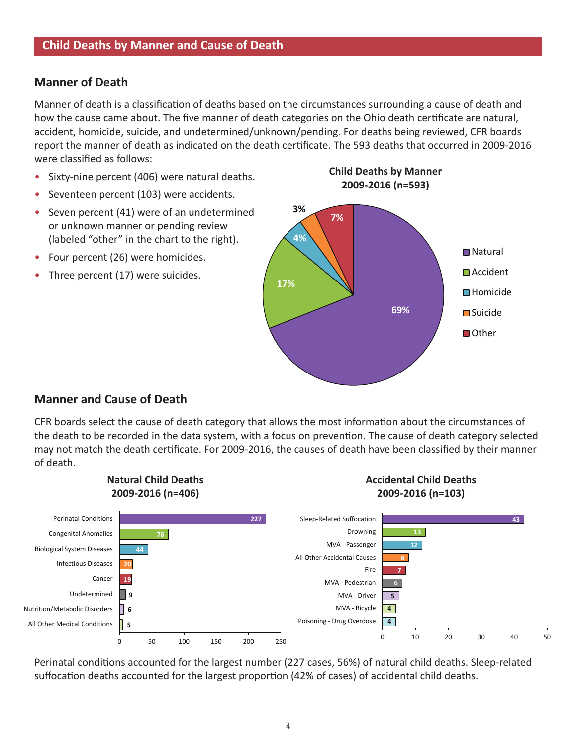#### **Manner of Death**

Manner of death is a classification of deaths based on the circumstances surrounding a cause of death and how the cause came about. The five manner of death categories on the Ohio death certificate are natural, essuem, nonneles, suicide, and directemmies, anthour, periumginon acame seing renercy, on isocial accident, homicide, suicide, and undetermined/unknown/pending. For deaths being reviewed, CFR boards were classified as follows:

- Sixty-nine percent (406) were natural deaths.
- Seventeen percent (103) were accidents.
- Seven percent (41) were of an undetermined or unknown manner or pending review (labeled "other" in the chart to the right).
- Four percent (26) were homicides.
- Three percent (17) were suicides.



#### **Manner and Cause of Death**

may not match the death certificate. For 2009-2016, the causes of death have been classified by their manner CFR boards select the cause of death category that allows the most information about the circumstances of the death to be recorded in the data system, with a focus on prevention. The cause of death category selected of death.



Perinatal conditions accounted for the largest number (227 cases, 56%) of natural child deaths. Sleep-related suffocation deaths accounted for the largest proportion (42% of cases) of accidental child deaths.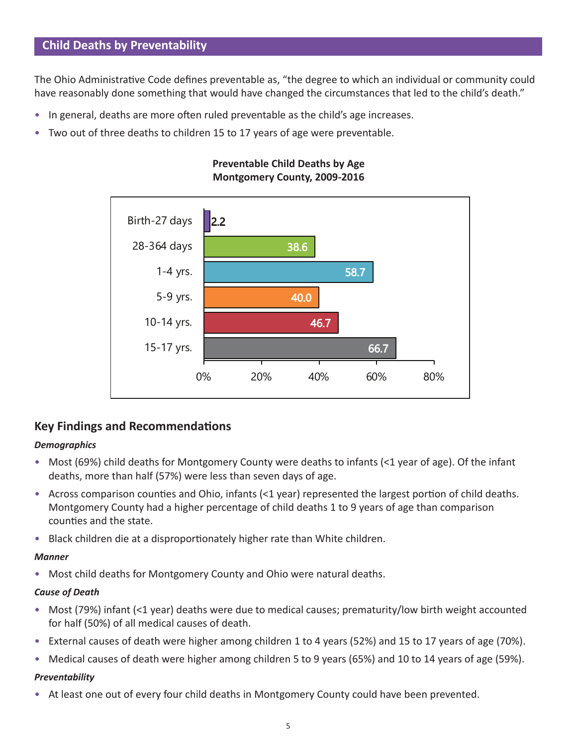#### **Child Deaths by Preventability**

The Ohio Administrative Code defines preventable as, "the degree to which an individual or community could have reasonably done something that would have changed the circumstances that led to the child's death."

- In general, deaths are more often ruled preventable as the child's age increases.
- Two out of three deaths to children 15 to 17 years of age were preventable.



### **Montgomery County, 2009-2016 Preventable Child Deaths by Age**

## **Key Findings and Recommendations**

#### *Demographics*

- Most (69%) child deaths for Montgomery County were deaths to infants (<1 year of age). Of the infant deaths, more than half (57%) were less than seven days of age.
- Across comparison counties and Ohio, infants (<1 year) represented the largest portion of child deaths. Montgomery County had a higher percentage of child deaths 1 to 9 years of age than comparison counties and the state.
- Black children die at a disproportionately higher rate than White children.

#### *Manner*

• Most child deaths for Montgomery County and Ohio were natural deaths.

#### *Cause of Death*

- Most (79%) infant (<1 year) deaths were due to medical causes; prematurity/low birth weight accounted for half (50%) of all medical causes of death.
- External causes of death were higher among children 1 to 4 years (52%) and 15 to 17 years of age (70%).
- Medical causes of death were higher among children 5 to 9 years (65%) and 10 to 14 years of age (59%).

#### *Preventability*

• At least one out of every four child deaths in Montgomery County could have been prevented.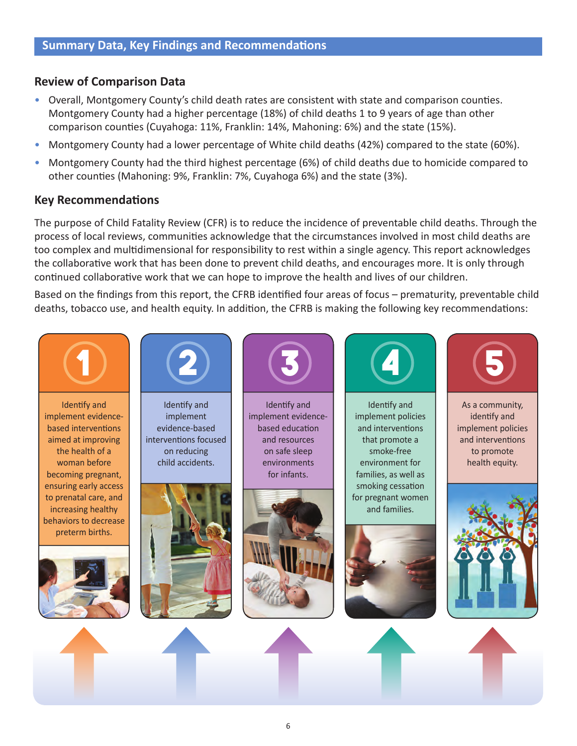#### **Review of Comparison Data**

- Overall, Montgomery County's child death rates are consistent with state and comparison counties. Montgomery County had a higher percentage (18%) of child deaths 1 to 9 years of age than other comparison counties (Cuyahoga: 11%, Franklin: 14%, Mahoning: 6%) and the state (15%).
- Montgomery County had a lower percentage of White child deaths (42%) compared to the state (60%).
- Montgomery County had the third highest percentage (6%) of child deaths due to homicide compared to other counties (Mahoning: 9%, Franklin: 7%, Cuyahoga 6%) and the state (3%).

#### **Key Recommendations**

The purpose of Child Fatality Review (CFR) is to reduce the incidence of preventable child deaths. Through the process of local reviews, communities acknowledge that the circumstances involved in most child deaths are too complex and multidimensional for responsibility to rest within a single agency. This report acknowledges the collaborative work that has been done to prevent child deaths, and encourages more. It is only through continued collaborative work that we can hope to improve the health and lives of our children.

Based on the findings from this report, the CFRB identified four areas of focus – prematurity, preventable child deaths, tobacco use, and health equity. In addition, the CFRB is making the following key recommendations: